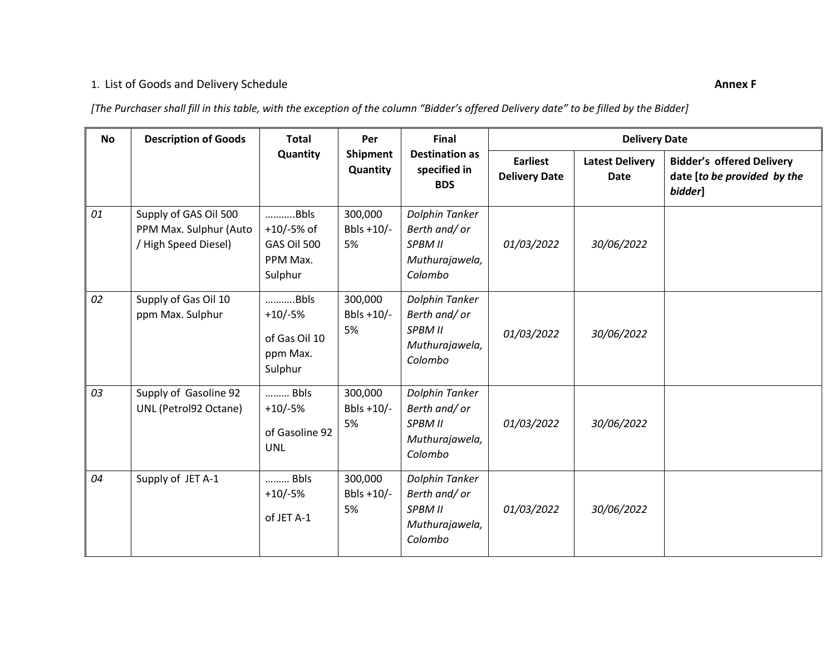## 1. List of Goods and Delivery Schedule **Annex F**

*[The Purchaser shall fill in this table, with the exception of the column "Bidder's offered Delivery date" to be filled by the Bidder]*

| <b>No</b> | <b>Description of Goods</b>                                            | <b>Total</b><br>Quantity                                   | Per<br><b>Shipment</b><br>Quantity | Final<br><b>Destination as</b><br>specified in<br><b>BDS</b>           | <b>Delivery Date</b>                    |                                       |                                                                            |
|-----------|------------------------------------------------------------------------|------------------------------------------------------------|------------------------------------|------------------------------------------------------------------------|-----------------------------------------|---------------------------------------|----------------------------------------------------------------------------|
|           |                                                                        |                                                            |                                    |                                                                        | <b>Earliest</b><br><b>Delivery Date</b> | <b>Latest Delivery</b><br><b>Date</b> | <b>Bidder's offered Delivery</b><br>date [to be provided by the<br>bidder] |
| 01        | Supply of GAS Oil 500<br>PPM Max. Sulphur (Auto<br>/High Speed Diesel) | Bbls<br>$+10/-5%$ of<br>GAS Oil 500<br>PPM Max.<br>Sulphur | 300,000<br>Bbls $+10/-$<br>5%      | Dolphin Tanker<br>Berth and/or<br>SPBM II<br>Muthurajawela,<br>Colombo | 01/03/2022                              | 30/06/2022                            |                                                                            |
| 02        | Supply of Gas Oil 10<br>ppm Max. Sulphur                               | Bbls<br>$+10/-5%$<br>of Gas Oil 10<br>ppm Max.<br>Sulphur  | 300,000<br>Bbls $+10/-$<br>5%      | Dolphin Tanker<br>Berth and/or<br>SPBM II<br>Muthurajawela,<br>Colombo | 01/03/2022                              | 30/06/2022                            |                                                                            |
| 03        | Supply of Gasoline 92<br>UNL (Petrol92 Octane)                         | Bbls<br>$+10/-5%$<br>of Gasoline 92<br><b>UNL</b>          | 300,000<br>Bbls +10/-<br>5%        | Dolphin Tanker<br>Berth and/or<br>SPBM II<br>Muthurajawela,<br>Colombo | 01/03/2022                              | 30/06/2022                            |                                                                            |
| 04        | Supply of JET A-1                                                      | Bbls<br>$+10/-5%$<br>of JET A-1                            | 300,000<br>Bbls $+10/-$<br>5%      | Dolphin Tanker<br>Berth and/or<br>SPBM II<br>Muthurajawela,<br>Colombo | 01/03/2022                              | 30/06/2022                            |                                                                            |